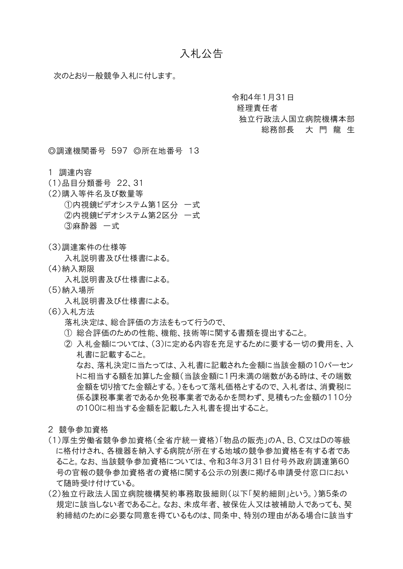## 入札公告

次のとおり一般競争入札に付します。

令和4年1月31日

経理責任者

## 独立行政法人国立病院機構本部

総務部長 大 門 龍 生

◎調達機関番号 597 ◎所在地番号 13

- 1 調達内容
- (1)品目分類番号 22、31
- (2)購入等件名及び数量等 ①内視鏡ビデオシステム第1区分 一式 ②内視鏡ビデオシステム第2区分 一式 ③麻酔器 一式
- (3)調達案件の仕様等

入札説明書及び什様書による。

(4)納入期限

入札説明書及び仕様書による。

(5)納入場所

入札説明書及び什様書による。

(6)入札方法

落札決定は、総合評価の方法をもって行うので、

- ① 総合評価のための性能、機能、技術等に関する書類を提出すること。
- ② 入札金額については、(3)に定める内容を充足するために要する一切の費用を、入 札書に記載すること。

なお、落札決定に当たっては、入札書に記載された金額に当該金額の10パーセン トに相当する額を加算した金額(当該金額に1円未満の端数がある時は、その端数 金額を切り捨てた金額とする。)をもって落札価格とするので、入札者は、消費税に 係る課税事業者であるか免税事業者であるかを問わず、見積もった金額の110分 の100に相当する金額を記載した入札書を提出すること。

- 2 競争参加資格
- (1)厚生労働省競争参加資格(全省庁統一資格)「物品の販売」のA、B、C又はDの等級 に格付けされ、各機器を納入する病院が所在する地域の競争参加資格を有する者であ ること。なお、当該競争参加資格については、令和3年3月31日付号外政府調達第60 号の官報の競争参加資格者の資格に関する公示の別表に掲げる申請受付窓口におい て随時受け付けている。
- (2)独立行政法人国立病院機構契約事務取扱細則(以下「契約細則」という。)第5条の 規定に該当しない者であること。なお、未成年者、被保佐人又は被補助人であっても、契 約締結のために必要な同意を得ているものは、同条中、特別の理由がある場合に該当す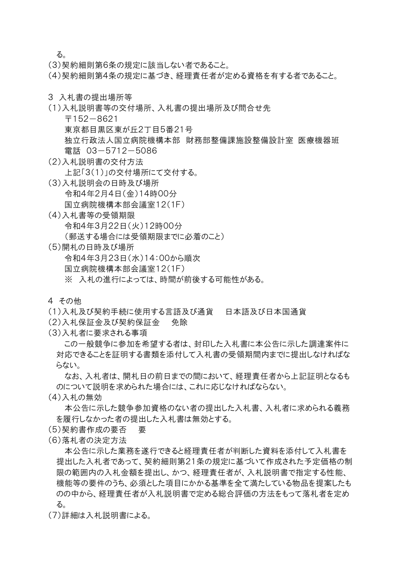る。

- (3)契約細則第6条の規定に該当しない者であること。
- (4)契約細則第4条の規定に基づき、経理責任者が定める資格を有する者であること。
- 3 入札書の提出場所等
- (1)入札説明書等の交付場所、入札書の提出場所及び問合せ先
	- 〒152-8621
	- 東京都目黒区東が丘2丁目5番21号
	- 独立行政法人国立病院機構本部 財務部整備課施設整備設計室 医療機器班 電話 03-5712-5086
- (2)入札説明書の交付方法 上記「3(1)」の交付場所にて交付する。
- (3)入札説明会の日時及び場所 令和4年2月4日(金)14時00分 国立病院機構本部会議室12(1F)
- (4)入札書等の受領期限 令和4年3月22日(火)12時00分 (郵送する場合には受領期限までに必着のこと)
- (5)開札の日時及び場所 令和4年3月23日(水)14:00から順次 国立病院機構本部会議室12(1F) ※ 入札の進行によっては、時間が前後する可能性がある。
- 4 その他
- (1)入札及び契約手続に使用する言語及び通貨 日本語及び日本国通貨
- (2)入札保証金及び契約保証金 免除
- (3)入札者に要求される事項

この一般競争に参加を希望する者は、封印した入札書に本公告に示した調達案件に 対応できることを証明する書類を添付して入札書の受領期間内までに提出しなければな らない。

なお、入札者は、開札日の前日までの間において、経理責任者から上記証明となるも のについて説明を求められた場合には、これに応じなければならない。

(4)入札の無効

本公告に示した競争参加資格のない者の提出した入札書、入札者に求められる義務 を履行しなかった者の提出した入札書は無効とする。

- (5)契約書作成の要否 要
- (6)落札者の決定方法

本公告に示した業務を遂行できると経理責任者が判断した資料を添付して入札書を 提出した入札者であって、契約細則第21条の規定に基づいて作成された予定価格の制 限の範囲内の入札金額を提出し、かつ、経理責任者が、入札説明書で指定する性能、 機能等の要件のうち、必須とした項目にかかる基準を全て満たしている物品を提案したも のの中から、経理責任者が入札説明書で定める総合評価の方法をもって落札者を定め る。

(7)詳細は入札説明書による。